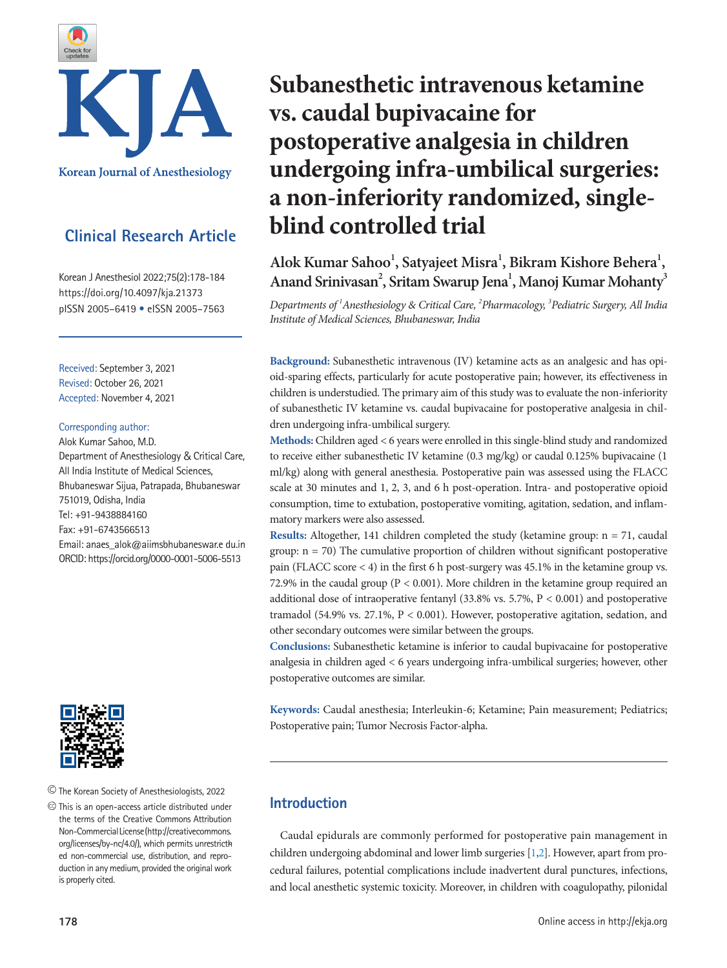

# **Clinical Research Article**

Korean J Anesthesiol 2022;75(2):178-184 https://doi.org/10.4097/kja.21373 pISSN 2005–6419 • eISSN 2005–7563

Received: September 3, 2021 Revised: October 26, 2021 Accepted: November 4, 2021

#### Corresponding author:

Alok Kumar Sahoo, M.D. Department of Anesthesiology & Critical Care, All India Institute of Medical Sciences, Bhubaneswar Sijua, Patrapada, Bhubaneswar 751019, Odisha, India Tel: +91-9438884160 Fax: +91-6743566513 Email: anaes\_alok@aiimsbhubaneswar.e du.in ORCID: https://orcid.org/0000-0001-5006-5513



The Korean Society of Anesthesiologists, 2022

 $\circledcirc$  This is an open-access article distributed under the terms of the Creative Commons Attribution Non-Commercial License (http://creativecommons. org/licenses/by-nc/4.0/), which permits unrestricth ed non-commercial use, distribution, and reproduction in any medium, provided the original work is properly cited.

# **Subanesthetic intravenous ketamine vs. caudal bupivacaine for postoperative analgesia in children undergoing infra-umbilical surgeries: a non-inferiority randomized, singleblind controlled trial**

Alok Kumar Sahoo<sup>1</sup>, Satyajeet Misra<sup>1</sup>, Bikram Kishore Behera<sup>1</sup>, Anand Srinivasan<sup>2</sup>, Sritam Swarup Jena<sup>1</sup>, Manoj Kumar Mohanty<sup>3</sup>

*Departments of 1 Anesthesiology & Critical Care, 2 Pharmacology, 3 Pediatric Surgery, All India Institute of Medical Sciences, Bhubaneswar, India* 

**Background:** Subanesthetic intravenous (IV) ketamine acts as an analgesic and has opioid-sparing effects, particularly for acute postoperative pain; however, its effectiveness in children is understudied. The primary aim of this study was to evaluate the non-inferiority of subanesthetic IV ketamine vs. caudal bupivacaine for postoperative analgesia in children undergoing infra-umbilical surgery.

**Methods:** Children aged < 6 years were enrolled in this single-blind study and randomized to receive either subanesthetic IV ketamine (0.3 mg/kg) or caudal 0.125% bupivacaine (1 ml/kg) along with general anesthesia. Postoperative pain was assessed using the FLACC scale at 30 minutes and 1, 2, 3, and 6 h post-operation. Intra- and postoperative opioid consumption, time to extubation, postoperative vomiting, agitation, sedation, and inflammatory markers were also assessed.

**Results:** Altogether, 141 children completed the study (ketamine group: n = 71, caudal group:  $n = 70$ ) The cumulative proportion of children without significant postoperative pain (FLACC score < 4) in the first 6 h post-surgery was 45.1% in the ketamine group vs. 72.9% in the caudal group ( $P < 0.001$ ). More children in the ketamine group required an additional dose of intraoperative fentanyl  $(33.8\%$  vs. 5.7%,  $P < 0.001$ ) and postoperative tramadol (54.9% vs. 27.1%, P < 0.001). However, postoperative agitation, sedation, and other secondary outcomes were similar between the groups.

**Conclusions:** Subanesthetic ketamine is inferior to caudal bupivacaine for postoperative analgesia in children aged < 6 years undergoing infra-umbilical surgeries; however, other postoperative outcomes are similar.

**Keywords:** Caudal anesthesia; Interleukin-6; Ketamine; Pain measurement; Pediatrics; Postoperative pain; Tumor Necrosis Factor-alpha.

# **Introduction**

Caudal epidurals are commonly performed for postoperative pain management in children undergoing abdominal and lower limb surgeries [\[1](#page-6-0)[,2\]](#page-6-1). However, apart from procedural failures, potential complications include inadvertent dural punctures, infections, and local anesthetic systemic toxicity. Moreover, in children with coagulopathy, pilonidal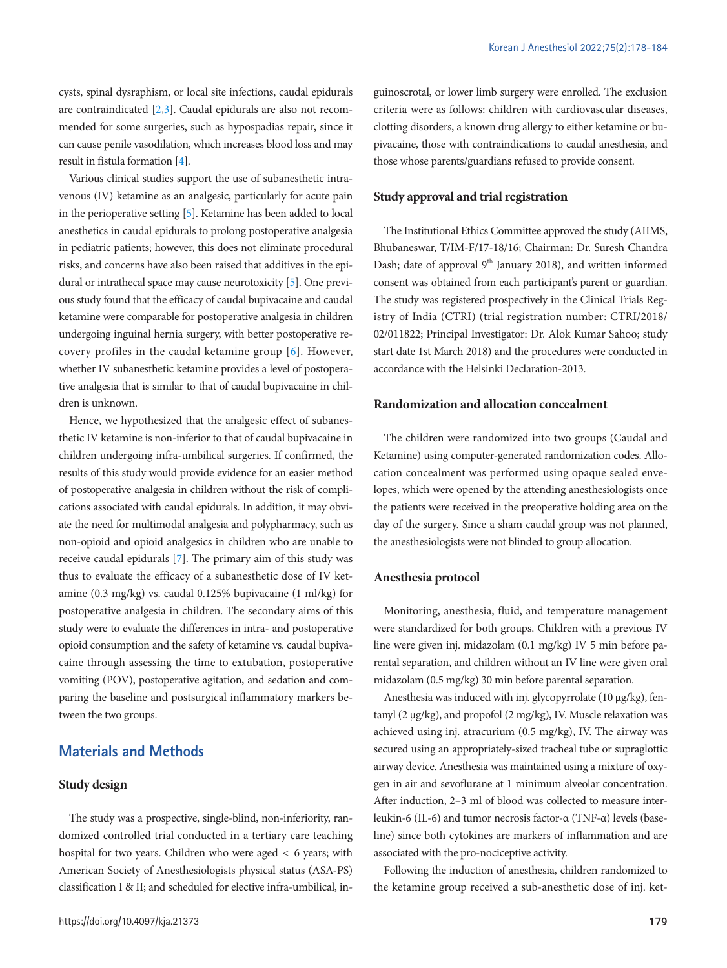cysts, spinal dysraphism, or local site infections, caudal epidurals are contraindicated [\[2](#page-6-1)[,3\]](#page-6-2). Caudal epidurals are also not recommended for some surgeries, such as hypospadias repair, since it can cause penile vasodilation, which increases blood loss and may result in fistula formation [\[4\]](#page-6-3).

Various clinical studies support the use of subanesthetic intravenous (IV) ketamine as an analgesic, particularly for acute pain in the perioperative setting [\[5](#page-6-2)]. Ketamine has been added to local anesthetics in caudal epidurals to prolong postoperative analgesia in pediatric patients; however, this does not eliminate procedural risks, and concerns have also been raised that additives in the epidural or intrathecal space may cause neurotoxicity [\[5\]](#page-6-2). One previous study found that the efficacy of caudal bupivacaine and caudal ketamine were comparable for postoperative analgesia in children undergoing inguinal hernia surgery, with better postoperative recovery profiles in the caudal ketamine group [6]. However, whether IV subanesthetic ketamine provides a level of postoperative analgesia that is similar to that of caudal bupivacaine in children is unknown.

Hence, we hypothesized that the analgesic effect of subanesthetic IV ketamine is non-inferior to that of caudal bupivacaine in children undergoing infra-umbilical surgeries. If confirmed, the results of this study would provide evidence for an easier method of postoperative analgesia in children without the risk of complications associated with caudal epidurals. In addition, it may obviate the need for multimodal analgesia and polypharmacy, such as non-opioid and opioid analgesics in children who are unable to receive caudal epidurals [\[7](#page-6-4)]. The primary aim of this study was thus to evaluate the efficacy of a subanesthetic dose of IV ketamine (0.3 mg/kg) vs. caudal 0.125% bupivacaine (1 ml/kg) for postoperative analgesia in children. The secondary aims of this study were to evaluate the differences in intra- and postoperative opioid consumption and the safety of ketamine vs. caudal bupivacaine through assessing the time to extubation, postoperative vomiting (POV), postoperative agitation, and sedation and comparing the baseline and postsurgical inflammatory markers between the two groups.

# **Materials and Methods**

### **Study design**

The study was a prospective, single-blind, non-inferiority, randomized controlled trial conducted in a tertiary care teaching hospital for two years. Children who were aged < 6 years; with American Society of Anesthesiologists physical status (ASA-PS) classification I & II; and scheduled for elective infra-umbilical, inguinoscrotal, or lower limb surgery were enrolled. The exclusion criteria were as follows: children with cardiovascular diseases, clotting disorders, a known drug allergy to either ketamine or bupivacaine, those with contraindications to caudal anesthesia, and those whose parents/guardians refused to provide consent.

#### **Study approval and trial registration**

The Institutional Ethics Committee approved the study (AIIMS, Bhubaneswar, T/IM-F/17-18/16; Chairman: Dr. Suresh Chandra Dash; date of approval  $9<sup>th</sup>$  January 2018), and written informed consent was obtained from each participant's parent or guardian. The study was registered prospectively in the Clinical Trials Registry of India (CTRI) (trial registration number: CTRI/2018/ 02/011822; Principal Investigator: Dr. Alok Kumar Sahoo; study start date 1st March 2018) and the procedures were conducted in accordance with the Helsinki Declaration-2013.

## **Randomization and allocation concealment**

The children were randomized into two groups (Caudal and Ketamine) using computer-generated randomization codes. Allocation concealment was performed using opaque sealed envelopes, which were opened by the attending anesthesiologists once the patients were received in the preoperative holding area on the day of the surgery. Since a sham caudal group was not planned, the anesthesiologists were not blinded to group allocation.

#### **Anesthesia protocol**

Monitoring, anesthesia, fluid, and temperature management were standardized for both groups. Children with a previous IV line were given inj. midazolam (0.1 mg/kg) IV 5 min before parental separation, and children without an IV line were given oral midazolam (0.5 mg/kg) 30 min before parental separation.

Anesthesia was induced with inj. glycopyrrolate (10 μg/kg), fentanyl (2 μg/kg), and propofol (2 mg/kg), IV. Muscle relaxation was achieved using inj. atracurium (0.5 mg/kg), IV. The airway was secured using an appropriately-sized tracheal tube or supraglottic airway device. Anesthesia was maintained using a mixture of oxygen in air and sevoflurane at 1 minimum alveolar concentration. After induction, 2–3 ml of blood was collected to measure interleukin-6 (IL-6) and tumor necrosis factor-α (TNF-α) levels (baseline) since both cytokines are markers of inflammation and are associated with the pro-nociceptive activity.

Following the induction of anesthesia, children randomized to the ketamine group received a sub-anesthetic dose of inj. ket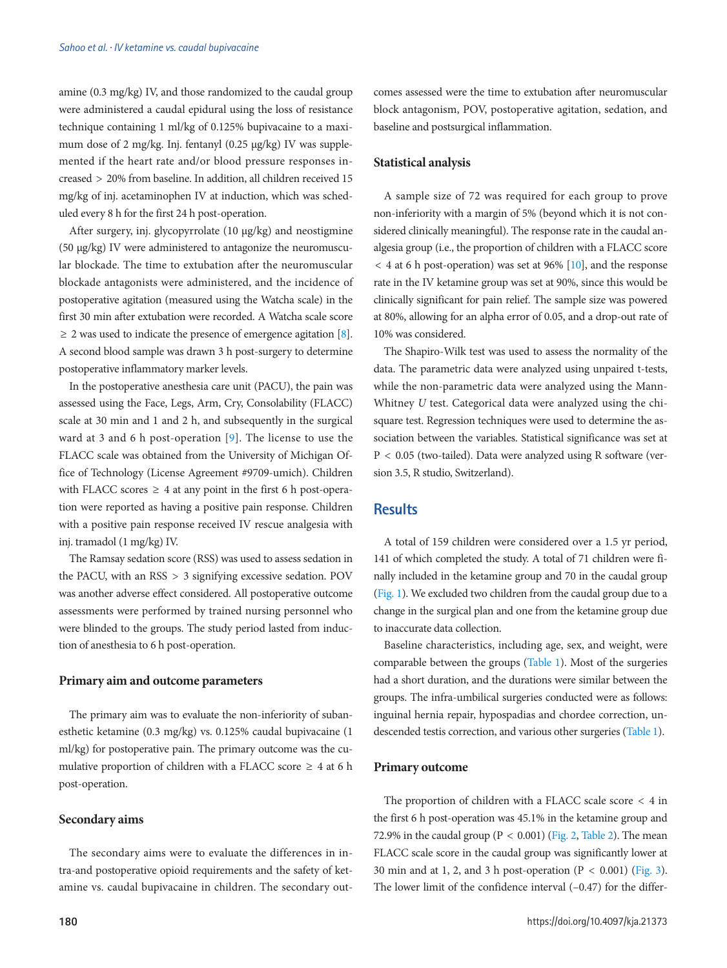amine (0.3 mg/kg) IV, and those randomized to the caudal group were administered a caudal epidural using the loss of resistance technique containing 1 ml/kg of 0.125% bupivacaine to a maximum dose of 2 mg/kg. Inj. fentanyl (0.25 μg/kg) IV was supplemented if the heart rate and/or blood pressure responses increased > 20% from baseline. In addition, all children received 15 mg/kg of inj. acetaminophen IV at induction, which was scheduled every 8 h for the first 24 h post-operation.

After surgery, inj. glycopyrrolate (10 μg/kg) and neostigmine (50 μg/kg) IV were administered to antagonize the neuromuscular blockade. The time to extubation after the neuromuscular blockade antagonists were administered, and the incidence of postoperative agitation (measured using the Watcha scale) in the first 30 min after extubation were recorded. A Watcha scale score  $\geq$  2 was used to indicate the presence of emergence agitation [\[8\]](#page-6-5). A second blood sample was drawn 3 h post-surgery to determine postoperative inflammatory marker levels.

In the postoperative anesthesia care unit (PACU), the pain was assessed using the Face, Legs, Arm, Cry, Consolability (FLACC) scale at 30 min and 1 and 2 h, and subsequently in the surgical ward at 3 and 6 h post-operation [\[9](#page-6-6)]. The license to use the FLACC scale was obtained from the University of Michigan Office of Technology (License Agreement #9709-umich). Children with FLACC scores  $\geq 4$  at any point in the first 6 h post-operation were reported as having a positive pain response. Children with a positive pain response received IV rescue analgesia with inj. tramadol (1 mg/kg) IV.

The Ramsay sedation score (RSS) was used to assess sedation in the PACU, with an RSS > 3 signifying excessive sedation. POV was another adverse effect considered. All postoperative outcome assessments were performed by trained nursing personnel who were blinded to the groups. The study period lasted from induction of anesthesia to 6 h post-operation.

#### **Primary aim and outcome parameters**

The primary aim was to evaluate the non-inferiority of subanesthetic ketamine (0.3 mg/kg) vs. 0.125% caudal bupivacaine (1 ml/kg) for postoperative pain. The primary outcome was the cumulative proportion of children with a FLACC score  $\geq 4$  at 6 h post-operation.

#### **Secondary aims**

The secondary aims were to evaluate the differences in intra-and postoperative opioid requirements and the safety of ketamine vs. caudal bupivacaine in children. The secondary outcomes assessed were the time to extubation after neuromuscular block antagonism, POV, postoperative agitation, sedation, and baseline and postsurgical inflammation.

#### **Statistical analysis**

A sample size of 72 was required for each group to prove non-inferiority with a margin of 5% (beyond which it is not considered clinically meaningful). The response rate in the caudal analgesia group (i.e., the proportion of children with a FLACC score  $<$  4 at 6 h post-operation) was set at 96% [\[10](#page-6-7)], and the response rate in the IV ketamine group was set at 90%, since this would be clinically significant for pain relief. The sample size was powered at 80%, allowing for an alpha error of 0.05, and a drop-out rate of 10% was considered.

The Shapiro-Wilk test was used to assess the normality of the data. The parametric data were analyzed using unpaired t-tests, while the non-parametric data were analyzed using the Mann-Whitney *U* test. Categorical data were analyzed using the chisquare test. Regression techniques were used to determine the association between the variables. Statistical significance was set at P < 0.05 (two-tailed). Data were analyzed using R software (version 3.5, R studio, Switzerland).

# **Results**

A total of 159 children were considered over a 1.5 yr period, 141 of which completed the study. A total of 71 children were finally included in the ketamine group and 70 in the caudal group [\(Fig. 1](#page-3-0)). We excluded two children from the caudal group due to a change in the surgical plan and one from the ketamine group due to inaccurate data collection.

Baseline characteristics, including age, sex, and weight, were comparable between the groups [\(Table 1](#page-3-1)). Most of the surgeries had a short duration, and the durations were similar between the groups. The infra-umbilical surgeries conducted were as follows: inguinal hernia repair, hypospadias and chordee correction, undescended testis correction, and various other surgeries [\(Table 1](#page-3-1)).

#### **Primary outcome**

The proportion of children with a FLACC scale score < 4 in the first 6 h post-operation was 45.1% in the ketamine group and 72.9% in the caudal group ( $P < 0.001$ ) [\(Fig. 2](#page-3-2), [Table 2](#page-4-0)). The mean FLACC scale score in the caudal group was significantly lower at 30 min and at 1, 2, and 3 h post-operation ( $P < 0.001$ ) [\(Fig. 3\)](#page-4-1). The lower limit of the confidence interval (–0.47) for the differ-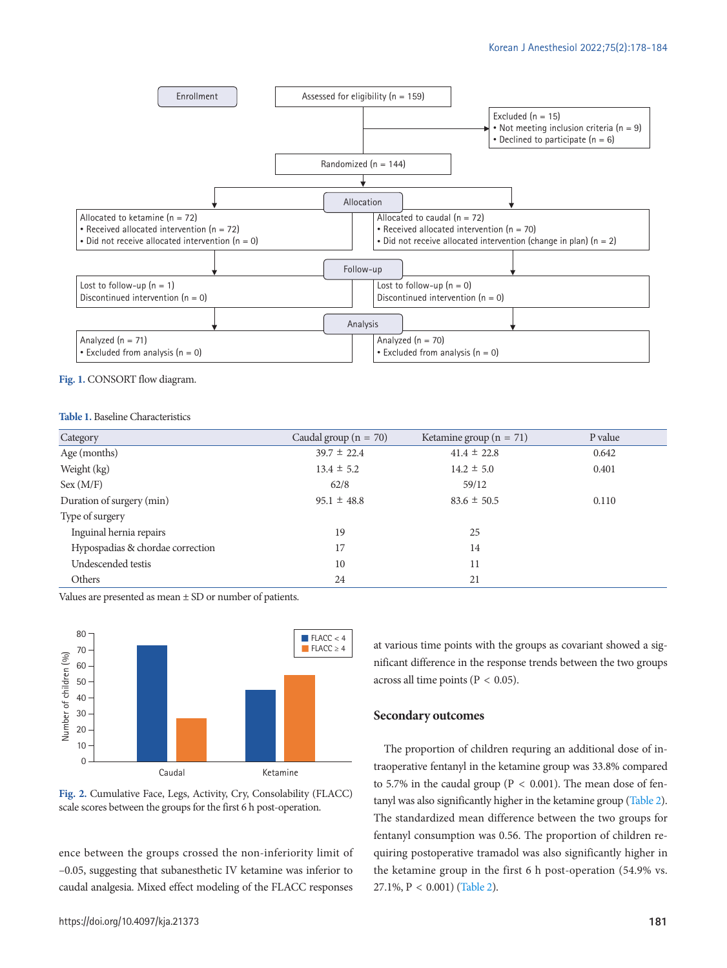<span id="page-3-0"></span>

**Fig. 1.** CONSORT flow diagram.

#### <span id="page-3-1"></span>**Table 1.** Baseline Characteristics

| Category                         | Caudal group ( $n = 70$ ) | Ketamine group ( $n = 71$ ) | P value |
|----------------------------------|---------------------------|-----------------------------|---------|
| Age (months)                     | $39.7 \pm 22.4$           | $41.4 \pm 22.8$             | 0.642   |
| Weight (kg)                      | $13.4 \pm 5.2$            | $14.2 \pm 5.0$              | 0.401   |
| Sex (M/F)                        | 62/8                      | 59/12                       |         |
| Duration of surgery (min)        | $95.1 \pm 48.8$           | $83.6 \pm 50.5$             | 0.110   |
| Type of surgery                  |                           |                             |         |
| Inguinal hernia repairs          | 19                        | 25                          |         |
| Hypospadias & chordae correction | 17                        | 14                          |         |
| Undescended testis               | 10                        | 11                          |         |
| Others                           | 24                        | 21                          |         |

Values are presented as mean ± SD or number of patients.

<span id="page-3-2"></span>



ence between the groups crossed the non-inferiority limit of –0.05, suggesting that subanesthetic IV ketamine was inferior to caudal analgesia. Mixed effect modeling of the FLACC responses

at various time points with the groups as covariant showed a significant difference in the response trends between the two groups across all time points (P < 0.05).

#### **Secondary outcomes**

The proportion of children requring an additional dose of intraoperative fentanyl in the ketamine group was 33.8% compared to 5.7% in the caudal group ( $P < 0.001$ ). The mean dose of fentanyl was also significantly higher in the ketamine group [\(Table 2\)](#page-4-0). The standardized mean difference between the two groups for fentanyl consumption was 0.56. The proportion of children requiring postoperative tramadol was also significantly higher in the ketamine group in the first 6 h post-operation (54.9% vs. 27.1%, P < 0.001) [\(Table 2](#page-4-0)).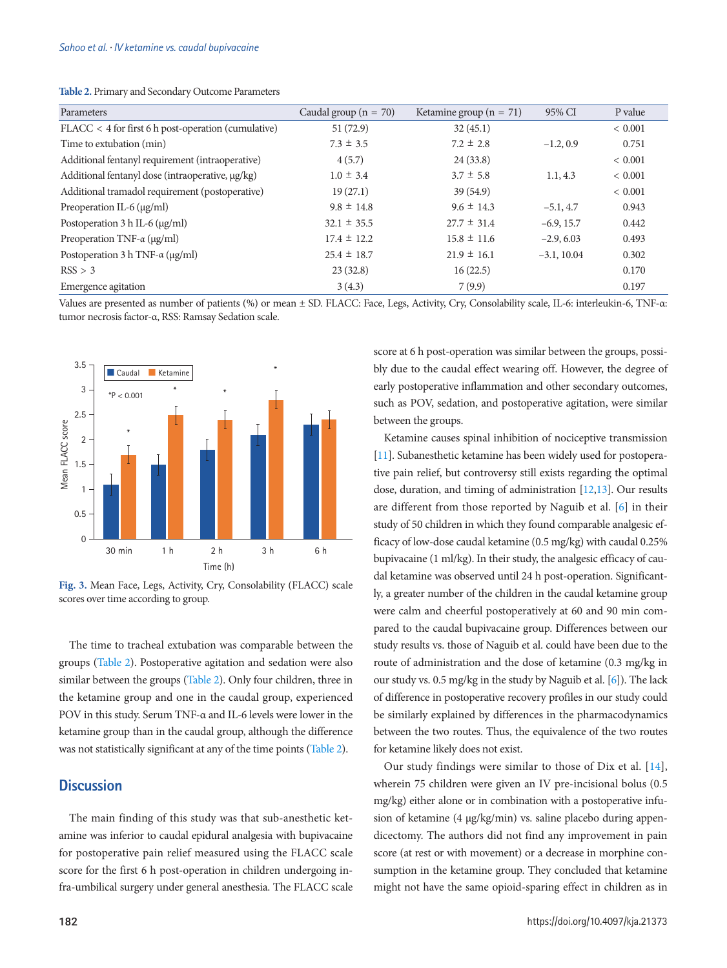| Parameters                                                   | Caudal group ( $n = 70$ ) | Ketamine group ( $n = 71$ ) | 95% CI        | P value     |
|--------------------------------------------------------------|---------------------------|-----------------------------|---------------|-------------|
| $\text{FLACC}$ < 4 for first 6 h post-operation (cumulative) | 51 (72.9)                 | 32(45.1)                    |               | ${}< 0.001$ |
| Time to extubation (min)                                     | $7.3 \pm 3.5$             | $7.2 \pm 2.8$               | $-1.2, 0.9$   | 0.751       |
| Additional fentanyl requirement (intraoperative)             | 4(5.7)                    | 24(33.8)                    |               | ${}< 0.001$ |
| Additional fentanyl dose (intraoperative, $\mu$ g/kg)        | $1.0 \pm 3.4$             | $3.7 \pm 5.8$               | 1.1, 4.3      | ${}< 0.001$ |
| Additional tramadol requirement (postoperative)              | 19(27.1)                  | 39(54.9)                    |               | ${}< 0.001$ |
| Preoperation IL-6 (µg/ml)                                    | $9.8 \pm 14.8$            | $9.6 \pm 14.3$              | $-5.1, 4.7$   | 0.943       |
| Postoperation $3 h$ IL-6 ( $\mu$ g/ml)                       | $32.1 \pm 35.5$           | $27.7 \pm 31.4$             | $-6.9, 15.7$  | 0.442       |
| Preoperation TNF- $\alpha$ (µg/ml)                           | $17.4 \pm 12.2$           | $15.8 \pm 11.6$             | $-2.9, 6.03$  | 0.493       |
| Postoperation 3 h TNF- $\alpha$ (µg/ml)                      | $25.4 \pm 18.7$           | $21.9 \pm 16.1$             | $-3.1, 10.04$ | 0.302       |
| RSS > 3                                                      | 23(32.8)                  | 16(22.5)                    |               | 0.170       |
| Emergence agitation                                          | 3(4.3)                    | 7(9.9)                      |               | 0.197       |

<span id="page-4-0"></span>**Table 2.** Primary and Secondary Outcome Parameters

Values are presented as number of patients (%) or mean ± SD. FLACC: Face, Legs, Activity, Cry, Consolability scale, IL-6: interleukin-6, TNF-α: tumor necrosis factor-α, RSS: Ramsay Sedation scale.

<span id="page-4-1"></span>

**Fig. 3.** Mean Face, Legs, Activity, Cry, Consolability (FLACC) scale scores over time according to group.

The time to tracheal extubation was comparable between the groups (Table 2). Postoperative agitation and sedation were also similar between the groups (Table 2). Only four children, three in the ketamine group and one in the caudal group, experienced POV in this study. Serum TNF-α and IL-6 levels were lower in the ketamine group than in the caudal group, although the difference was not statistically significant at any of the time points (Table 2).

# **Discussion**

The main finding of this study was that sub-anesthetic ketamine was inferior to caudal epidural analgesia with bupivacaine for postoperative pain relief measured using the FLACC scale score for the first 6 h post-operation in children undergoing infra-umbilical surgery under general anesthesia. The FLACC scale score at 6 h post-operation was similar between the groups, possibly due to the caudal effect wearing off. However, the degree of early postoperative inflammation and other secondary outcomes, such as POV, sedation, and postoperative agitation, were similar between the groups.

Ketamine causes spinal inhibition of nociceptive transmission [\[11](#page-6-8)]. Subanesthetic ketamine has been widely used for postoperative pain relief, but controversy still exists regarding the optimal dose, duration, and timing of administration [\[12,](#page-6-9)[13\]](#page-6-10). Our results are different from those reported by Naguib et al. [6] in their study of 50 children in which they found comparable analgesic efficacy of low-dose caudal ketamine (0.5 mg/kg) with caudal 0.25% bupivacaine (1 ml/kg). In their study, the analgesic efficacy of caudal ketamine was observed until 24 h post-operation. Significantly, a greater number of the children in the caudal ketamine group were calm and cheerful postoperatively at 60 and 90 min compared to the caudal bupivacaine group. Differences between our study results vs. those of Naguib et al. could have been due to the route of administration and the dose of ketamine (0.3 mg/kg in our study vs. 0.5 mg/kg in the study by Naguib et al. [\[6](#page-6-11)]). The lack of difference in postoperative recovery profiles in our study could be similarly explained by differences in the pharmacodynamics between the two routes. Thus, the equivalence of the two routes for ketamine likely does not exist.

Our study findings were similar to those of Dix et al. [\[14\]](#page-6-12), wherein 75 children were given an IV pre-incisional bolus (0.5 mg/kg) either alone or in combination with a postoperative infusion of ketamine (4 µg/kg/min) vs. saline placebo during appendicectomy. The authors did not find any improvement in pain score (at rest or with movement) or a decrease in morphine consumption in the ketamine group. They concluded that ketamine might not have the same opioid-sparing effect in children as in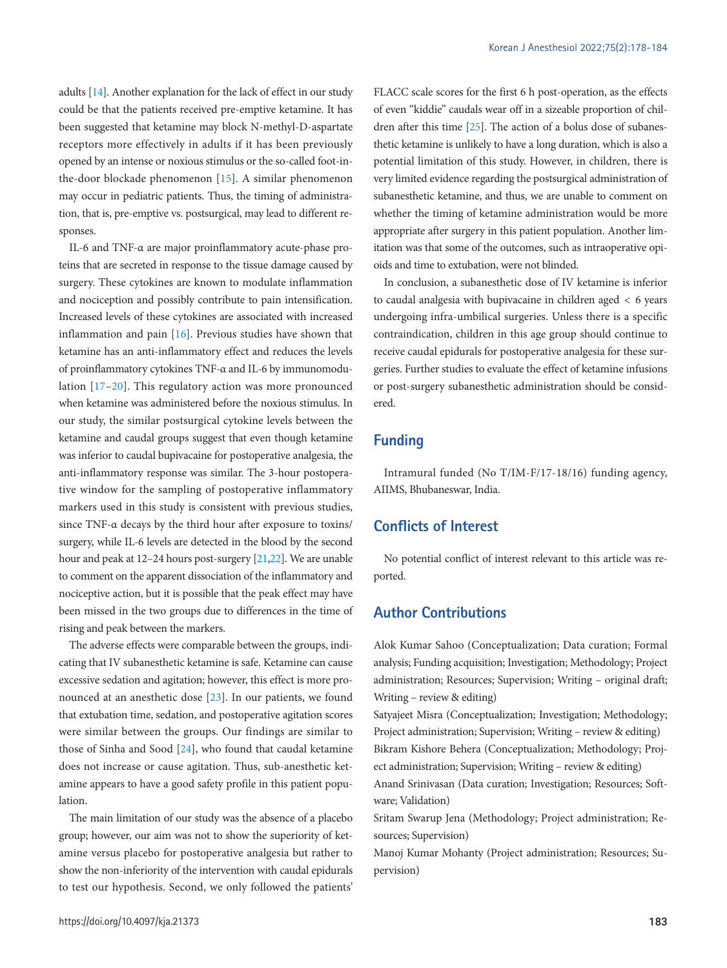adults [\[14](#page-6-7)]. Another explanation for the lack of effect in our study could be that the patients received pre-emptive ketamine. It has been suggested that ketamine may block N-methyl-D-aspartate receptors more effectively in adults if it has been previously opened by an intense or noxious stimulus or the so-called foot-inthe-door blockade phenomenon [[15\]](#page-6-13). A similar phenomenon may occur in pediatric patients. Thus, the timing of administration, that is, pre-emptive vs. postsurgical, may lead to different responses.

IL-6 and TNF-α are major proinflammatory acute-phase proteins that are secreted in response to the tissue damage caused by surgery. These cytokines are known to modulate inflammation and nociception and possibly contribute to pain intensification. Increased levels of these cytokines are associated with increased inflammation and pain [\[16\]](#page-6-14). Previous studies have shown that ketamine has an anti-inflammatory effect and reduces the levels of proinflammatory cytokines TNF-α and IL-6 by immunomodulation [\[17–](#page-6-15)[20\]](#page-6-16). This regulatory action was more pronounced when ketamine was administered before the noxious stimulus. In our study, the similar postsurgical cytokine levels between the ketamine and caudal groups suggest that even though ketamine was inferior to caudal bupivacaine for postoperative analgesia, the anti-inflammatory response was similar. The 3-hour postoperative window for the sampling of postoperative inflammatory markers used in this study is consistent with previous studies, since TNF-α decays by the third hour after exposure to toxins/ surgery, while IL-6 levels are detected in the blood by the second hour and peak at 12–24 hours post-surgery [\[21](#page-6-17)[,22](#page-6-18)]. We are unable to comment on the apparent dissociation of the inflammatory and nociceptive action, but it is possible that the peak effect may have been missed in the two groups due to differences in the time of rising and peak between the markers.

The adverse effects were comparable between the groups, indicating that IV subanesthetic ketamine is safe. Ketamine can cause excessive sedation and agitation; however, this effect is more pronounced at an anesthetic dose [\[23](#page-6-19)]. In our patients, we found that extubation time, sedation, and postoperative agitation scores were similar between the groups. Our findings are similar to those of Sinha and Sood [\[24\]](#page-6-20), who found that caudal ketamine does not increase or cause agitation. Thus, sub-anesthetic ketamine appears to have a good safety profile in this patient population.

The main limitation of our study was the absence of a placebo group; however, our aim was not to show the superiority of ketamine versus placebo for postoperative analgesia but rather to show the non-inferiority of the intervention with caudal epidurals to test our hypothesis. Second, we only followed the patients'

FLACC scale scores for the first 6 h post-operation, as the effects of even "kiddie" caudals wear off in a sizeable proportion of children after this time [\[25\]](#page-6-21). The action of a bolus dose of subanesthetic ketamine is unlikely to have a long duration, which is also a potential limitation of this study. However, in children, there is very limited evidence regarding the postsurgical administration of subanesthetic ketamine, and thus, we are unable to comment on whether the timing of ketamine administration would be more appropriate after surgery in this patient population. Another limitation was that some of the outcomes, such as intraoperative opioids and time to extubation, were not blinded.

In conclusion, a subanesthetic dose of IV ketamine is inferior to caudal analgesia with bupivacaine in children aged < 6 years undergoing infra-umbilical surgeries. Unless there is a specific contraindication, children in this age group should continue to receive caudal epidurals for postoperative analgesia for these surgeries. Further studies to evaluate the effect of ketamine infusions or post-surgery subanesthetic administration should be considered.

# **Funding**

Intramural funded (No T/IM-F/17-18/16) funding agency, AIIMS, Bhubaneswar, India.

# **Conflicts of Interest**

No potential conflict of interest relevant to this article was reported.

# **Author Contributions**

Alok Kumar Sahoo (Conceptualization; Data curation; Formal analysis; Funding acquisition; Investigation; Methodology; Project administration; Resources; Supervision; Writing – original draft; Writing – review & editing)

Satyajeet Misra (Conceptualization; Investigation; Methodology; Project administration; Supervision; Writing – review & editing) Bikram Kishore Behera (Conceptualization; Methodology; Project administration; Supervision; Writing – review & editing)

Anand Srinivasan (Data curation; Investigation; Resources; Software; Validation)

Sritam Swarup Jena (Methodology; Project administration; Resources; Supervision)

Manoj Kumar Mohanty (Project administration; Resources; Supervision)